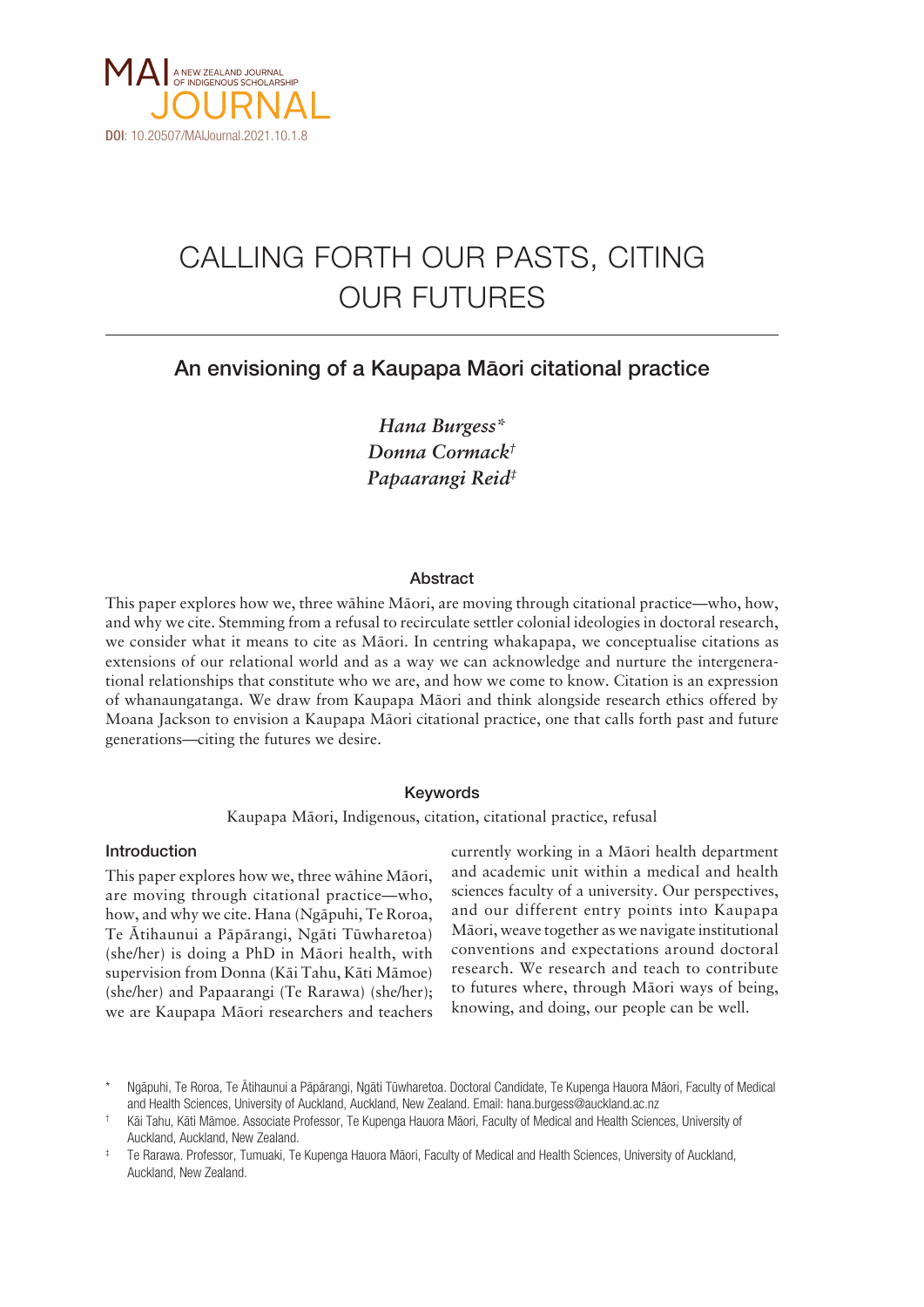

# CALLING FORTH OUR PASTS, CITING OUR FUTURES

# An envisioning of a Kaupapa Mäori citational practice

*Hana Burgess\* Donna Cormack† Papaarangi Reid‡*

# Abstract

This paper explores how we, three wähine Mäori, are moving through citational practice—who, how, and why we cite. Stemming from a refusal to recirculate settler colonial ideologies in doctoral research, we consider what it means to cite as Mäori. In centring whakapapa, we conceptualise citations as extensions of our relational world and as a way we can acknowledge and nurture the intergenerational relationships that constitute who we are, and how we come to know. Citation is an expression of whanaungatanga. We draw from Kaupapa Mäori and think alongside research ethics offered by Moana Jackson to envision a Kaupapa Mäori citational practice, one that calls forth past and future generations—citing the futures we desire.

# Keywords

Kaupapa Mäori, Indigenous, citation, citational practice, refusal

### Introduction

This paper explores how we, three wähine Mäori, are moving through citational practice—who, how, and why we cite. Hana (Ngäpuhi, Te Roroa, Te Ätihaunui a Päpärangi, Ngäti Tüwharetoa) (she/her) is doing a PhD in Mäori health, with supervision from Donna (Käi Tahu, Käti Mämoe) (she/her) and Papaarangi (Te Rarawa) (she/her); we are Kaupapa Mäori researchers and teachers

currently working in a Mäori health department and academic unit within a medical and health sciences faculty of a university. Our perspectives, and our different entry points into Kaupapa Mäori, weave together as we navigate institutional conventions and expectations around doctoral research. We research and teach to contribute to futures where, through Mäori ways of being, knowing, and doing, our people can be well.

Ngāpuhi, Te Roroa, Te Ātihaunui a Pāpārangi, Ngāti Tūwharetoa. Doctoral Candidate, Te Kupenga Hauora Māori, Faculty of Medical and Health Sciences, University of Auckland, Auckland, New Zealand. Email: [hana.burgess@auckland.ac.nz](mailto:hana.burgess@auckland.ac.nz)

<sup>†</sup> Käi Tahu, Käti Mämoe. Associate Professor, Te Kupenga Hauora Mäori, Faculty of Medical and Health Sciences, University of Auckland, Auckland, New Zealand.

<sup>‡</sup> Te Rarawa. Professor, Tumuaki, Te Kupenga Hauora Mäori, Faculty of Medical and Health Sciences, University of Auckland, Auckland, New Zealand.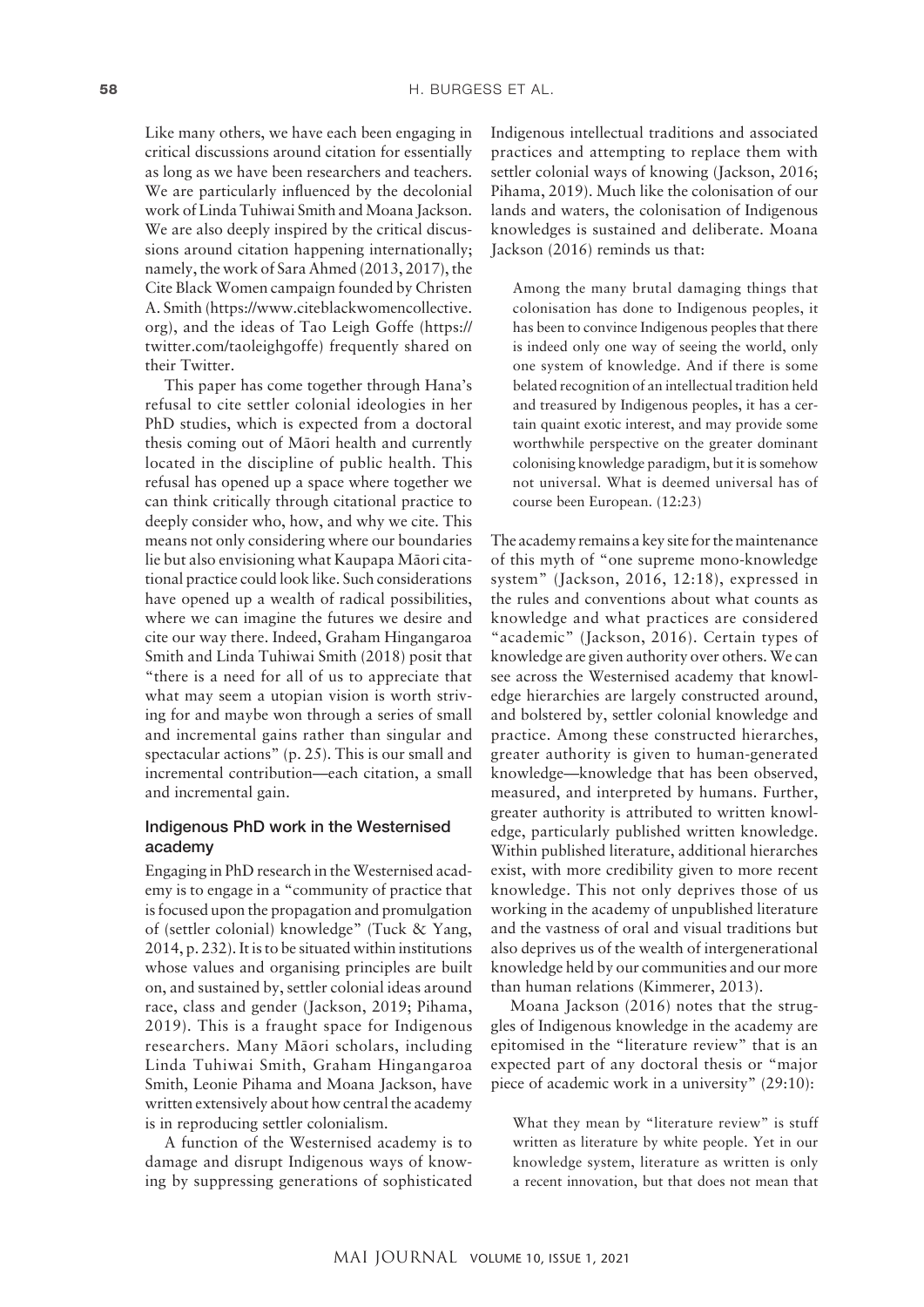Like many others, we have each been engaging in critical discussions around citation for essentially as long as we have been researchers and teachers. We are particularly influenced by the decolonial work of Linda Tuhiwai Smith and Moana Jackson. We are also deeply inspired by the critical discussions around citation happening internationally; namely, the work of Sara Ahmed (2013, 2017), the Cite Black Women campaign founded by Christen A. Smith ([https://www.citeblackwomencollective.](https://www.citeblackwomencollective.org) [org](https://www.citeblackwomencollective.org)), and the ideas of Tao Leigh Goffe ([https://](https://twitter.com/taoleighgoffe) [twitter.com/taoleighgoffe](https://twitter.com/taoleighgoffe)) frequently shared on their Twitter.

This paper has come together through Hana's refusal to cite settler colonial ideologies in her PhD studies, which is expected from a doctoral thesis coming out of Mäori health and currently located in the discipline of public health. This refusal has opened up a space where together we can think critically through citational practice to deeply consider who, how, and why we cite. This means not only considering where our boundaries lie but also envisioning what Kaupapa Mäori citational practice could look like. Such considerations have opened up a wealth of radical possibilities, where we can imagine the futures we desire and cite our way there. Indeed, Graham Hingangaroa Smith and Linda Tuhiwai Smith (2018) posit that "there is a need for all of us to appreciate that what may seem a utopian vision is worth striving for and maybe won through a series of small and incremental gains rather than singular and spectacular actions" (p. 25). This is our small and incremental contribution—each citation, a small and incremental gain.

# Indigenous PhD work in the Westernised academy

Engaging in PhD research in the Westernised academy is to engage in a "community of practice that is focused upon the propagation and promulgation of (settler colonial) knowledge" (Tuck & Yang, 2014, p. 232). It is to be situated within institutions whose values and organising principles are built on, and sustained by, settler colonial ideas around race, class and gender (Jackson, 2019; Pihama, 2019). This is a fraught space for Indigenous researchers. Many Mäori scholars, including Linda Tuhiwai Smith, Graham Hingangaroa Smith, Leonie Pihama and Moana Jackson, have written extensively about how central the academy is in reproducing settler colonialism.

A function of the Westernised academy is to damage and disrupt Indigenous ways of knowing by suppressing generations of sophisticated Indigenous intellectual traditions and associated practices and attempting to replace them with settler colonial ways of knowing (Jackson, 2016; Pihama, 2019). Much like the colonisation of our lands and waters, the colonisation of Indigenous knowledges is sustained and deliberate. Moana Jackson (2016) reminds us that:

Among the many brutal damaging things that colonisation has done to Indigenous peoples, it has been to convince Indigenous peoples that there is indeed only one way of seeing the world, only one system of knowledge. And if there is some belated recognition of an intellectual tradition held and treasured by Indigenous peoples, it has a certain quaint exotic interest, and may provide some worthwhile perspective on the greater dominant colonising knowledge paradigm, but it is somehow not universal. What is deemed universal has of course been European. (12:23)

The academy remains a key site for the maintenance of this myth of "one supreme mono-knowledge system" (Jackson, 2016, 12:18), expressed in the rules and conventions about what counts as knowledge and what practices are considered "academic" (Jackson, 2016). Certain types of knowledge are given authority over others. We can see across the Westernised academy that knowledge hierarchies are largely constructed around, and bolstered by, settler colonial knowledge and practice. Among these constructed hierarches, greater authority is given to human-generated knowledge—knowledge that has been observed, measured, and interpreted by humans. Further, greater authority is attributed to written knowledge, particularly published written knowledge. Within published literature, additional hierarches exist, with more credibility given to more recent knowledge. This not only deprives those of us working in the academy of unpublished literature and the vastness of oral and visual traditions but also deprives us of the wealth of intergenerational knowledge held by our communities and our more than human relations (Kimmerer, 2013).

Moana Jackson (2016) notes that the struggles of Indigenous knowledge in the academy are epitomised in the "literature review" that is an expected part of any doctoral thesis or "major piece of academic work in a university" (29:10):

What they mean by "literature review" is stuff written as literature by white people. Yet in our knowledge system, literature as written is only a recent innovation, but that does not mean that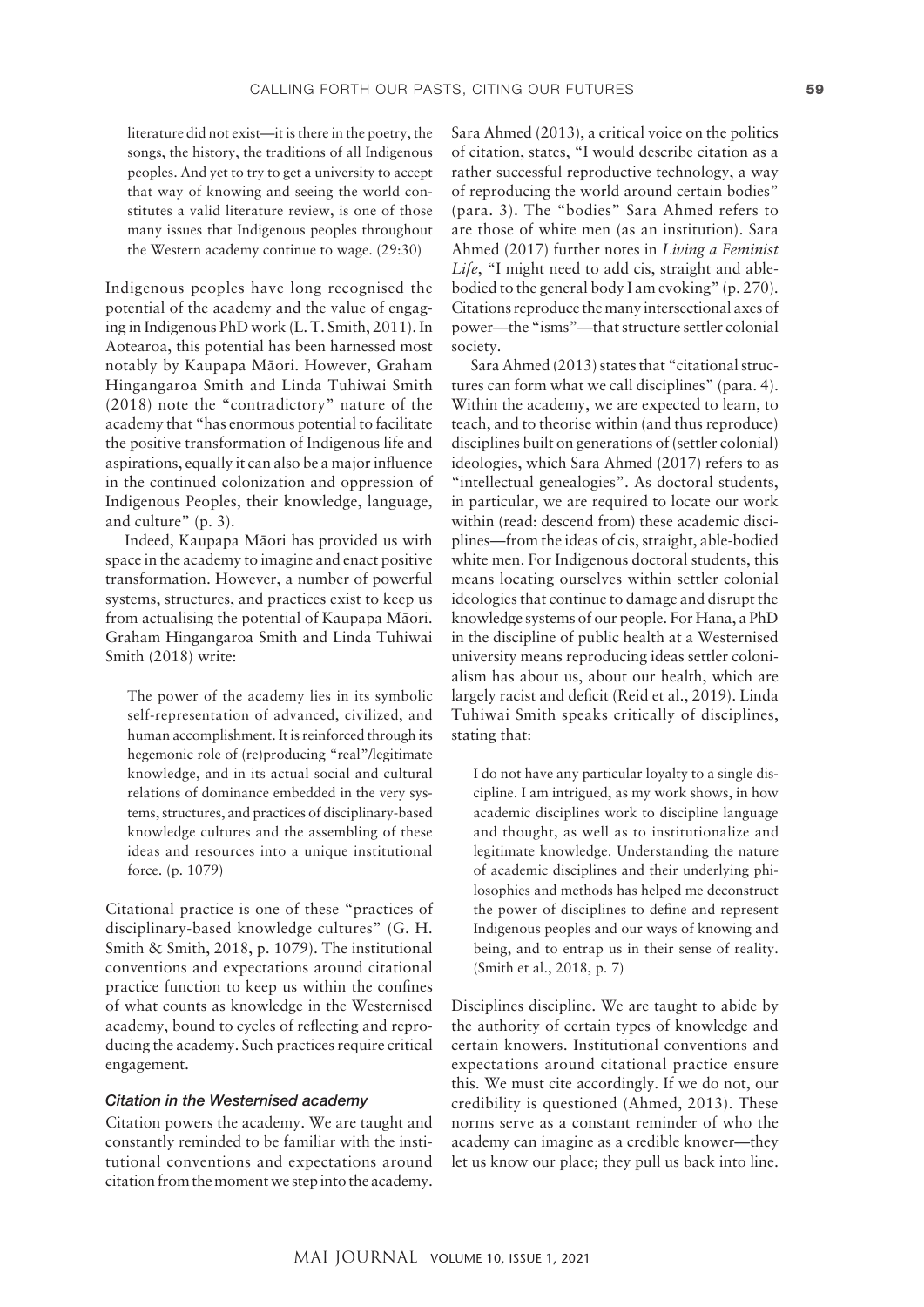literature did not exist—it is there in the poetry, the songs, the history, the traditions of all Indigenous peoples. And yet to try to get a university to accept that way of knowing and seeing the world constitutes a valid literature review, is one of those many issues that Indigenous peoples throughout the Western academy continue to wage. (29:30)

Indigenous peoples have long recognised the potential of the academy and the value of engaging in Indigenous PhD work (L. T. Smith, 2011). In Aotearoa, this potential has been harnessed most notably by Kaupapa Mäori. However, Graham Hingangaroa Smith and Linda Tuhiwai Smith (2018) note the "contradictory" nature of the academy that "has enormous potential to facilitate the positive transformation of Indigenous life and aspirations, equally it can also be a major influence in the continued colonization and oppression of Indigenous Peoples, their knowledge, language, and culture" (p. 3).

Indeed, Kaupapa Mäori has provided us with space in the academy to imagine and enact positive transformation. However, a number of powerful systems, structures, and practices exist to keep us from actualising the potential of Kaupapa Mäori. Graham Hingangaroa Smith and Linda Tuhiwai Smith (2018) write:

The power of the academy lies in its symbolic self-representation of advanced, civilized, and human accomplishment. It is reinforced through its hegemonic role of (re)producing "real"/legitimate knowledge, and in its actual social and cultural relations of dominance embedded in the very systems, structures, and practices of disciplinary-based knowledge cultures and the assembling of these ideas and resources into a unique institutional force. (p. 1079)

Citational practice is one of these "practices of disciplinary-based knowledge cultures" (G. H. Smith & Smith, 2018, p. 1079). The institutional conventions and expectations around citational practice function to keep us within the confines of what counts as knowledge in the Westernised academy, bound to cycles of reflecting and reproducing the academy. Such practices require critical engagement.

#### *Citation in the Westernised academy*

Citation powers the academy. We are taught and constantly reminded to be familiar with the institutional conventions and expectations around citation from the moment we step into the academy.

Sara Ahmed (2013), a critical voice on the politics of citation, states, "I would describe citation as a rather successful reproductive technology, a way of reproducing the world around certain bodies" (para. 3). The "bodies" Sara Ahmed refers to are those of white men (as an institution). Sara Ahmed (2017) further notes in *Living a Feminist Life*, "I might need to add cis, straight and ablebodied to the general body I am evoking" (p. 270). Citations reproduce the many intersectional axes of power—the "isms"—that structure settler colonial society.

Sara Ahmed (2013) states that "citational structures can form what we call disciplines" (para. 4). Within the academy, we are expected to learn, to teach, and to theorise within (and thus reproduce) disciplines built on generations of (settler colonial) ideologies, which Sara Ahmed (2017) refers to as "intellectual genealogies". As doctoral students, in particular, we are required to locate our work within (read: descend from) these academic disciplines—from the ideas of cis, straight, able-bodied white men. For Indigenous doctoral students, this means locating ourselves within settler colonial ideologies that continue to damage and disrupt the knowledge systems of our people. For Hana, a PhD in the discipline of public health at a Westernised university means reproducing ideas settler colonialism has about us, about our health, which are largely racist and deficit (Reid et al., 2019). Linda Tuhiwai Smith speaks critically of disciplines, stating that:

I do not have any particular loyalty to a single discipline. I am intrigued, as my work shows, in how academic disciplines work to discipline language and thought, as well as to institutionalize and legitimate knowledge. Understanding the nature of academic disciplines and their underlying philosophies and methods has helped me deconstruct the power of disciplines to define and represent Indigenous peoples and our ways of knowing and being, and to entrap us in their sense of reality. (Smith et al., 2018, p. 7)

Disciplines discipline. We are taught to abide by the authority of certain types of knowledge and certain knowers. Institutional conventions and expectations around citational practice ensure this. We must cite accordingly. If we do not, our credibility is questioned (Ahmed, 2013). These norms serve as a constant reminder of who the academy can imagine as a credible knower—they let us know our place; they pull us back into line.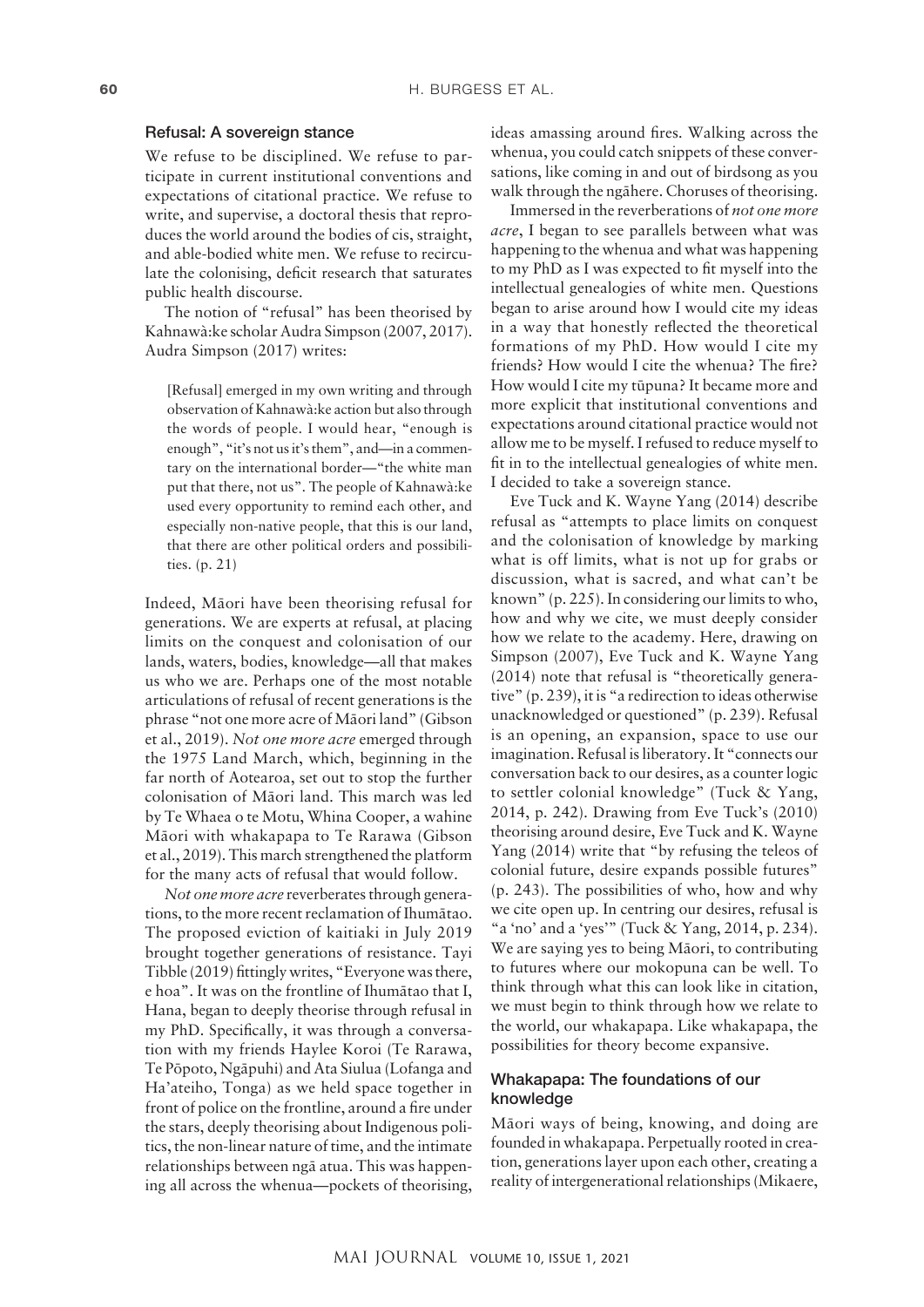#### Refusal: A sovereign stance

We refuse to be disciplined. We refuse to participate in current institutional conventions and expectations of citational practice. We refuse to write, and supervise, a doctoral thesis that reproduces the world around the bodies of cis, straight, and able-bodied white men. We refuse to recirculate the colonising, deficit research that saturates public health discourse.

The notion of "refusal" has been theorised by Kahnawà:ke scholar Audra Simpson (2007, 2017). Audra Simpson (2017) writes:

[Refusal] emerged in my own writing and through observation of Kahnawà:ke action but also through the words of people. I would hear, "enough is enough", "it's not us it's them", and—in a commentary on the international border—"the white man put that there, not us". The people of Kahnawà:ke used every opportunity to remind each other, and especially non-native people, that this is our land, that there are other political orders and possibilities. (p. 21)

Indeed, Mäori have been theorising refusal for generations. We are experts at refusal, at placing limits on the conquest and colonisation of our lands, waters, bodies, knowledge—all that makes us who we are. Perhaps one of the most notable articulations of refusal of recent generations is the phrase "not one more acre of Mäori land" (Gibson et al., 2019). *Not one more acre* emerged through the 1975 Land March, which, beginning in the far north of Aotearoa, set out to stop the further colonisation of Mäori land. This march was led by Te Whaea o te Motu, Whina Cooper, a wahine Mäori with whakapapa to Te Rarawa (Gibson et al., 2019). This march strengthened the platform for the many acts of refusal that would follow.

*Not one more acre* reverberates through generations, to the more recent reclamation of Ihumätao. The proposed eviction of kaitiaki in July 2019 brought together generations of resistance. Tayi Tibble (2019) fittingly writes, "Everyone was there, e hoa". It was on the frontline of Ihumätao that I, Hana, began to deeply theorise through refusal in my PhD. Specifically, it was through a conversation with my friends Haylee Koroi (Te Rarawa, Te Pöpoto, Ngäpuhi) and Ata Siulua (Lofanga and Ha'ateiho, Tonga) as we held space together in front of police on the frontline, around a fire under the stars, deeply theorising about Indigenous politics, the non-linear nature of time, and the intimate relationships between ngä atua. This was happening all across the whenua—pockets of theorising,

ideas amassing around fires. Walking across the whenua, you could catch snippets of these conversations, like coming in and out of birdsong as you walk through the ngähere. Choruses of theorising.

Immersed in the reverberations of *not one more acre*, I began to see parallels between what was happening to the whenua and what was happening to my PhD as I was expected to fit myself into the intellectual genealogies of white men. Questions began to arise around how I would cite my ideas in a way that honestly reflected the theoretical formations of my PhD. How would I cite my friends? How would I cite the whenua? The fire? How would I cite my tüpuna? It became more and more explicit that institutional conventions and expectations around citational practice would not allow me to be myself. I refused to reduce myself to fit in to the intellectual genealogies of white men. I decided to take a sovereign stance.

Eve Tuck and K. Wayne Yang (2014) describe refusal as "attempts to place limits on conquest and the colonisation of knowledge by marking what is off limits, what is not up for grabs or discussion, what is sacred, and what can't be known" (p. 225). In considering our limits to who, how and why we cite, we must deeply consider how we relate to the academy. Here, drawing on Simpson (2007), Eve Tuck and K. Wayne Yang (2014) note that refusal is "theoretically generative" (p. 239), it is "a redirection to ideas otherwise unacknowledged or questioned" (p. 239). Refusal is an opening, an expansion, space to use our imagination. Refusal is liberatory. It "connects our conversation back to our desires, as a counter logic to settler colonial knowledge" (Tuck & Yang, 2014, p. 242). Drawing from Eve Tuck's (2010) theorising around desire, Eve Tuck and K. Wayne Yang (2014) write that "by refusing the teleos of colonial future, desire expands possible futures" (p. 243). The possibilities of who, how and why we cite open up. In centring our desires, refusal is "a 'no' and a 'yes'" (Tuck & Yang, 2014, p. 234). We are saying yes to being Mäori, to contributing to futures where our mokopuna can be well. To think through what this can look like in citation, we must begin to think through how we relate to the world, our whakapapa. Like whakapapa, the possibilities for theory become expansive.

# Whakapapa: The foundations of our knowledge

Mäori ways of being, knowing, and doing are founded in whakapapa. Perpetually rooted in creation, generations layer upon each other, creating a reality of intergenerational relationships (Mikaere,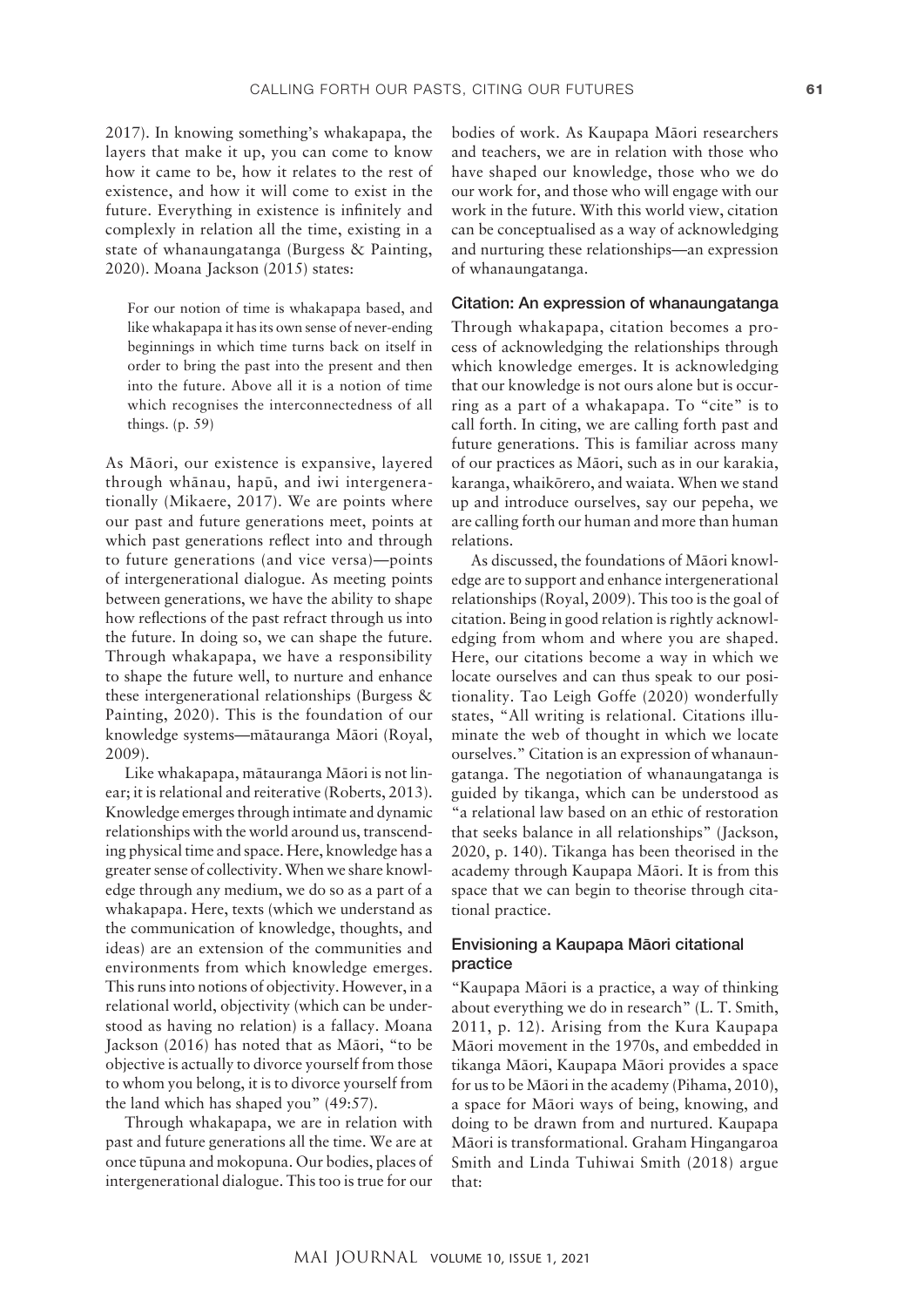2017). In knowing something's whakapapa, the layers that make it up, you can come to know how it came to be, how it relates to the rest of existence, and how it will come to exist in the future. Everything in existence is infinitely and complexly in relation all the time, existing in a state of whanaungatanga (Burgess & Painting, 2020). Moana Jackson (2015) states:

For our notion of time is whakapapa based, and like whakapapa it has its own sense of never-ending beginnings in which time turns back on itself in order to bring the past into the present and then into the future. Above all it is a notion of time which recognises the interconnectedness of all things. (p. 59)

As Mäori, our existence is expansive, layered through whänau, hapü, and iwi intergenerationally (Mikaere, 2017). We are points where our past and future generations meet, points at which past generations reflect into and through to future generations (and vice versa)—points of intergenerational dialogue. As meeting points between generations, we have the ability to shape how reflections of the past refract through us into the future. In doing so, we can shape the future. Through whakapapa, we have a responsibility to shape the future well, to nurture and enhance these intergenerational relationships (Burgess & Painting, 2020). This is the foundation of our knowledge systems—mätauranga Mäori (Royal, 2009).

Like whakapapa, mätauranga Mäori is not linear; it is relational and reiterative (Roberts, 2013). Knowledge emerges through intimate and dynamic relationships with the world around us, transcending physical time and space. Here, knowledge has a greater sense of collectivity. When we share knowledge through any medium, we do so as a part of a whakapapa. Here, texts (which we understand as the communication of knowledge, thoughts, and ideas) are an extension of the communities and environments from which knowledge emerges. This runs into notions of objectivity. However, in a relational world, objectivity (which can be understood as having no relation) is a fallacy. Moana Jackson (2016) has noted that as Mäori, "to be objective is actually to divorce yourself from those to whom you belong, it is to divorce yourself from the land which has shaped you" (49:57).

Through whakapapa, we are in relation with past and future generations all the time. We are at once tüpuna and mokopuna. Our bodies, places of intergenerational dialogue. This too is true for our

bodies of work. As Kaupapa Mäori researchers and teachers, we are in relation with those who have shaped our knowledge, those who we do our work for, and those who will engage with our work in the future. With this world view, citation can be conceptualised as a way of acknowledging and nurturing these relationships—an expression of whanaungatanga.

#### Citation: An expression of whanaungatanga

Through whakapapa, citation becomes a process of acknowledging the relationships through which knowledge emerges. It is acknowledging that our knowledge is not ours alone but is occurring as a part of a whakapapa. To "cite" is to call forth. In citing, we are calling forth past and future generations. This is familiar across many of our practices as Mäori, such as in our karakia, karanga, whaikörero, and waiata. When we stand up and introduce ourselves, say our pepeha, we are calling forth our human and more than human relations.

As discussed, the foundations of Mäori knowledge are to support and enhance intergenerational relationships (Royal, 2009). This too is the goal of citation. Being in good relation is rightly acknowledging from whom and where you are shaped. Here, our citations become a way in which we locate ourselves and can thus speak to our positionality. Tao Leigh Goffe (2020) wonderfully states, "All writing is relational. Citations illuminate the web of thought in which we locate ourselves." Citation is an expression of whanaungatanga. The negotiation of whanaungatanga is guided by tikanga, which can be understood as "a relational law based on an ethic of restoration that seeks balance in all relationships" (Jackson, 2020, p. 140). Tikanga has been theorised in the academy through Kaupapa Mäori. It is from this space that we can begin to theorise through citational practice.

# Envisioning a Kaupapa Mäori citational practice

"Kaupapa Mäori is a practice, a way of thinking about everything we do in research" (L. T. Smith, 2011, p. 12). Arising from the Kura Kaupapa Mäori movement in the 1970s, and embedded in tikanga Mäori, Kaupapa Mäori provides a space for us to be Mäori in the academy (Pihama, 2010), a space for Mäori ways of being, knowing, and doing to be drawn from and nurtured. Kaupapa Mäori is transformational. Graham Hingangaroa Smith and Linda Tuhiwai Smith (2018) argue that: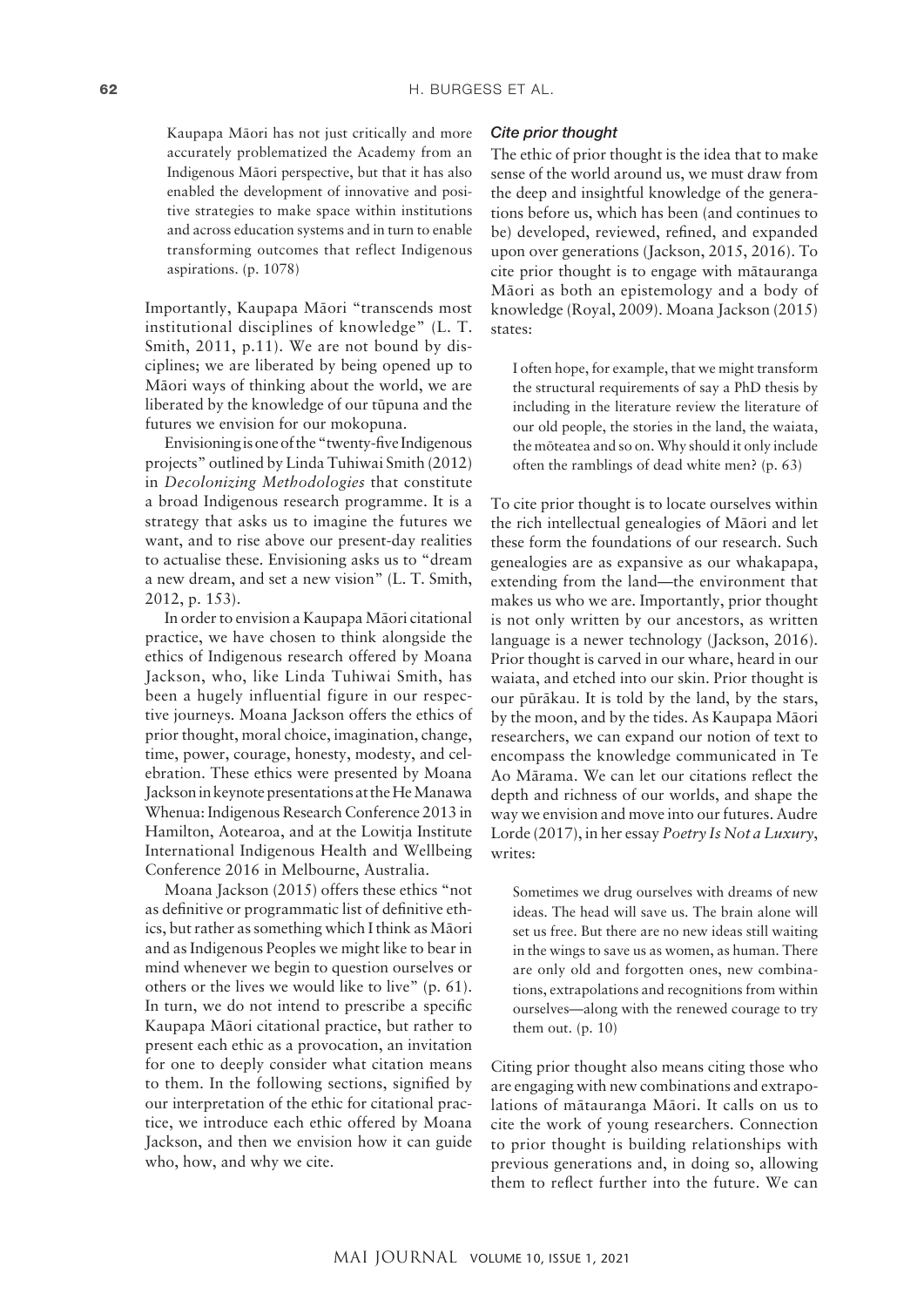Kaupapa Mäori has not just critically and more accurately problematized the Academy from an Indigenous Mäori perspective, but that it has also enabled the development of innovative and positive strategies to make space within institutions and across education systems and in turn to enable transforming outcomes that reflect Indigenous aspirations. (p. 1078)

Importantly, Kaupapa Mäori "transcends most institutional disciplines of knowledge" (L. T. Smith, 2011, p.11). We are not bound by disciplines; we are liberated by being opened up to Mäori ways of thinking about the world, we are liberated by the knowledge of our tüpuna and the futures we envision for our mokopuna.

Envisioning is one of the "twenty-five Indigenous projects" outlined by Linda Tuhiwai Smith (2012) in *Decolonizing Methodologies* that constitute a broad Indigenous research programme. It is a strategy that asks us to imagine the futures we want, and to rise above our present-day realities to actualise these. Envisioning asks us to "dream a new dream, and set a new vision" (L. T. Smith, 2012, p. 153).

In order to envision a Kaupapa Mäori citational practice, we have chosen to think alongside the ethics of Indigenous research offered by Moana Jackson, who, like Linda Tuhiwai Smith, has been a hugely influential figure in our respective journeys. Moana Jackson offers the ethics of prior thought, moral choice, imagination, change, time, power, courage, honesty, modesty, and celebration. These ethics were presented by Moana Jackson in keynote presentations at the He Manawa Whenua: Indigenous Research Conference 2013 in Hamilton, Aotearoa, and at the Lowitja Institute International Indigenous Health and Wellbeing Conference 2016 in Melbourne, Australia.

Moana Jackson (2015) offers these ethics "not as definitive or programmatic list of definitive ethics, but rather as something which I think as Mäori and as Indigenous Peoples we might like to bear in mind whenever we begin to question ourselves or others or the lives we would like to live" (p. 61). In turn, we do not intend to prescribe a specific Kaupapa Mäori citational practice, but rather to present each ethic as a provocation, an invitation for one to deeply consider what citation means to them. In the following sections, signified by our interpretation of the ethic for citational practice, we introduce each ethic offered by Moana Jackson, and then we envision how it can guide who, how, and why we cite.

#### *Cite prior thought*

The ethic of prior thought is the idea that to make sense of the world around us, we must draw from the deep and insightful knowledge of the generations before us, which has been (and continues to be) developed, reviewed, refined, and expanded upon over generations (Jackson, 2015, 2016). To cite prior thought is to engage with mätauranga Mäori as both an epistemology and a body of knowledge (Royal, 2009). Moana Jackson (2015) states:

I often hope, for example, that we might transform the structural requirements of say a PhD thesis by including in the literature review the literature of our old people, the stories in the land, the waiata, the möteatea and so on. Why should it only include often the ramblings of dead white men? (p. 63)

To cite prior thought is to locate ourselves within the rich intellectual genealogies of Mäori and let these form the foundations of our research. Such genealogies are as expansive as our whakapapa, extending from the land—the environment that makes us who we are. Importantly, prior thought is not only written by our ancestors, as written language is a newer technology (Jackson, 2016). Prior thought is carved in our whare, heard in our waiata, and etched into our skin. Prior thought is our püräkau. It is told by the land, by the stars, by the moon, and by the tides. As Kaupapa Mäori researchers, we can expand our notion of text to encompass the knowledge communicated in Te Ao Märama. We can let our citations reflect the depth and richness of our worlds, and shape the way we envision and move into our futures. Audre Lorde (2017), in her essay *Poetry Is Not a Luxury*, writes:

Sometimes we drug ourselves with dreams of new ideas. The head will save us. The brain alone will set us free. But there are no new ideas still waiting in the wings to save us as women, as human. There are only old and forgotten ones, new combinations, extrapolations and recognitions from within ourselves—along with the renewed courage to try them out.  $(p. 10)$ 

Citing prior thought also means citing those who are engaging with new combinations and extrapolations of mätauranga Mäori. It calls on us to cite the work of young researchers. Connection to prior thought is building relationships with previous generations and, in doing so, allowing them to reflect further into the future. We can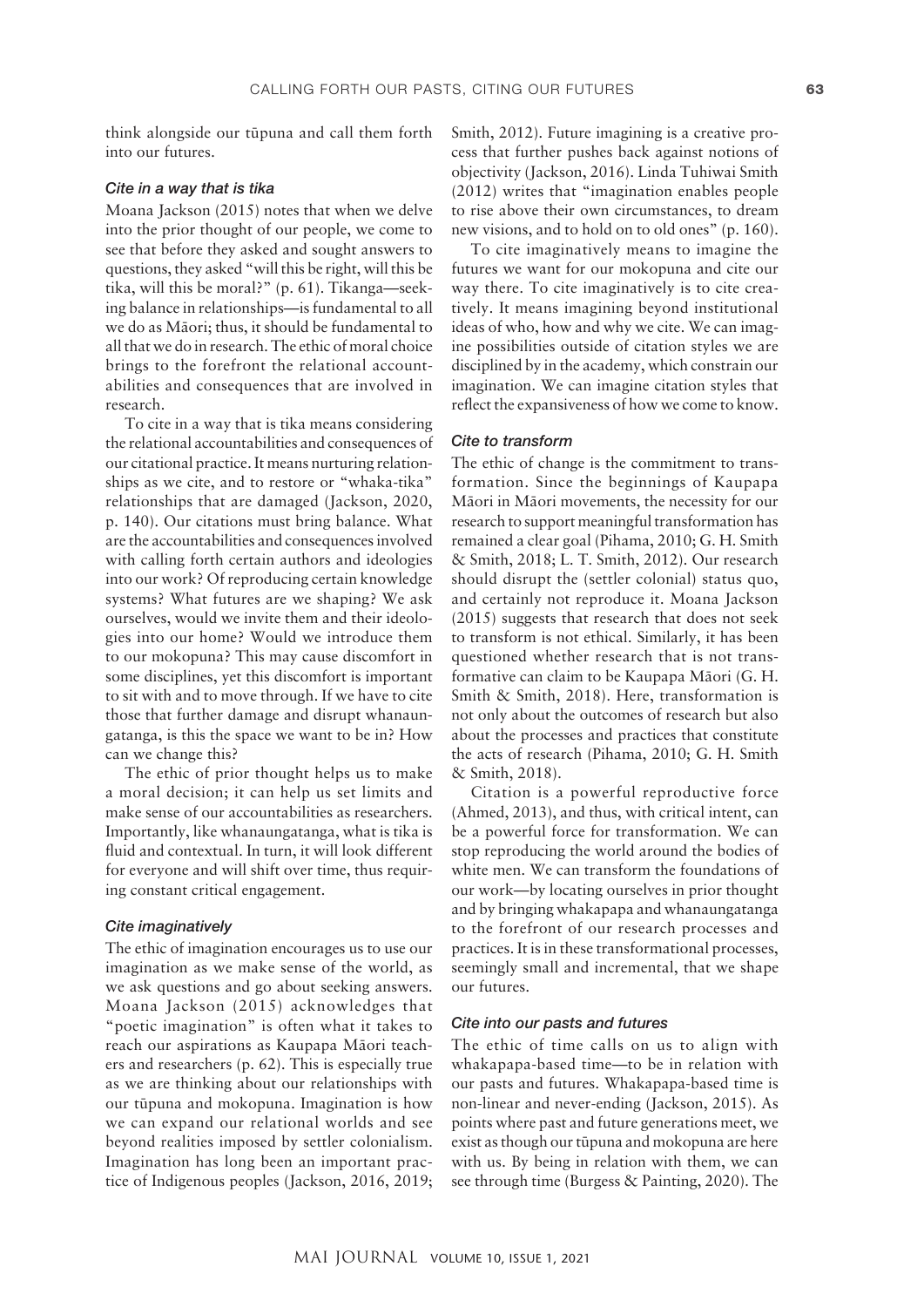think alongside our tüpuna and call them forth into our futures.

#### *Cite in a way that is tika*

Moana Jackson (2015) notes that when we delve into the prior thought of our people, we come to see that before they asked and sought answers to questions, they asked "will this be right, will this be tika, will this be moral?" (p. 61). Tikanga—seeking balance in relationships—is fundamental to all we do as Mäori; thus, it should be fundamental to all that we do in research. The ethic of moral choice brings to the forefront the relational accountabilities and consequences that are involved in research.

To cite in a way that is tika means considering the relational accountabilities and consequences of our citational practice. It means nurturing relationships as we cite, and to restore or "whaka-tika" relationships that are damaged (Jackson, 2020, p. 140). Our citations must bring balance. What are the accountabilities and consequences involved with calling forth certain authors and ideologies into our work? Of reproducing certain knowledge systems? What futures are we shaping? We ask ourselves, would we invite them and their ideologies into our home? Would we introduce them to our mokopuna? This may cause discomfort in some disciplines, yet this discomfort is important to sit with and to move through. If we have to cite those that further damage and disrupt whanaungatanga, is this the space we want to be in? How can we change this?

The ethic of prior thought helps us to make a moral decision; it can help us set limits and make sense of our accountabilities as researchers. Importantly, like whanaungatanga, what is tika is fluid and contextual. In turn, it will look different for everyone and will shift over time, thus requiring constant critical engagement.

# *Cite imaginatively*

The ethic of imagination encourages us to use our imagination as we make sense of the world, as we ask questions and go about seeking answers. Moana Jackson (2015) acknowledges that "poetic imagination" is often what it takes to reach our aspirations as Kaupapa Mäori teachers and researchers (p. 62). This is especially true as we are thinking about our relationships with our tüpuna and mokopuna. Imagination is how we can expand our relational worlds and see beyond realities imposed by settler colonialism. Imagination has long been an important practice of Indigenous peoples (Jackson, 2016, 2019; Smith, 2012). Future imagining is a creative process that further pushes back against notions of objectivity (Jackson, 2016). Linda Tuhiwai Smith (2012) writes that "imagination enables people to rise above their own circumstances, to dream new visions, and to hold on to old ones" (p. 160).

To cite imaginatively means to imagine the futures we want for our mokopuna and cite our way there. To cite imaginatively is to cite creatively. It means imagining beyond institutional ideas of who, how and why we cite. We can imagine possibilities outside of citation styles we are disciplined by in the academy, which constrain our imagination. We can imagine citation styles that reflect the expansiveness of how we come to know.

# *Cite to transform*

The ethic of change is the commitment to transformation. Since the beginnings of Kaupapa Mäori in Mäori movements, the necessity for our research to support meaningful transformation has remained a clear goal (Pihama, 2010; G. H. Smith & Smith, 2018; L. T. Smith, 2012). Our research should disrupt the (settler colonial) status quo, and certainly not reproduce it. Moana Jackson (2015) suggests that research that does not seek to transform is not ethical. Similarly, it has been questioned whether research that is not transformative can claim to be Kaupapa Mäori (G. H. Smith & Smith, 2018). Here, transformation is not only about the outcomes of research but also about the processes and practices that constitute the acts of research (Pihama, 2010; G. H. Smith & Smith, 2018).

Citation is a powerful reproductive force (Ahmed, 2013), and thus, with critical intent, can be a powerful force for transformation. We can stop reproducing the world around the bodies of white men. We can transform the foundations of our work—by locating ourselves in prior thought and by bringing whakapapa and whanaungatanga to the forefront of our research processes and practices. It is in these transformational processes, seemingly small and incremental, that we shape our futures.

#### *Cite into our pasts and futures*

The ethic of time calls on us to align with whakapapa-based time—to be in relation with our pasts and futures. Whakapapa-based time is non-linear and never-ending (Jackson, 2015). As points where past and future generations meet, we exist as though our tüpuna and mokopuna are here with us. By being in relation with them, we can see through time (Burgess & Painting, 2020). The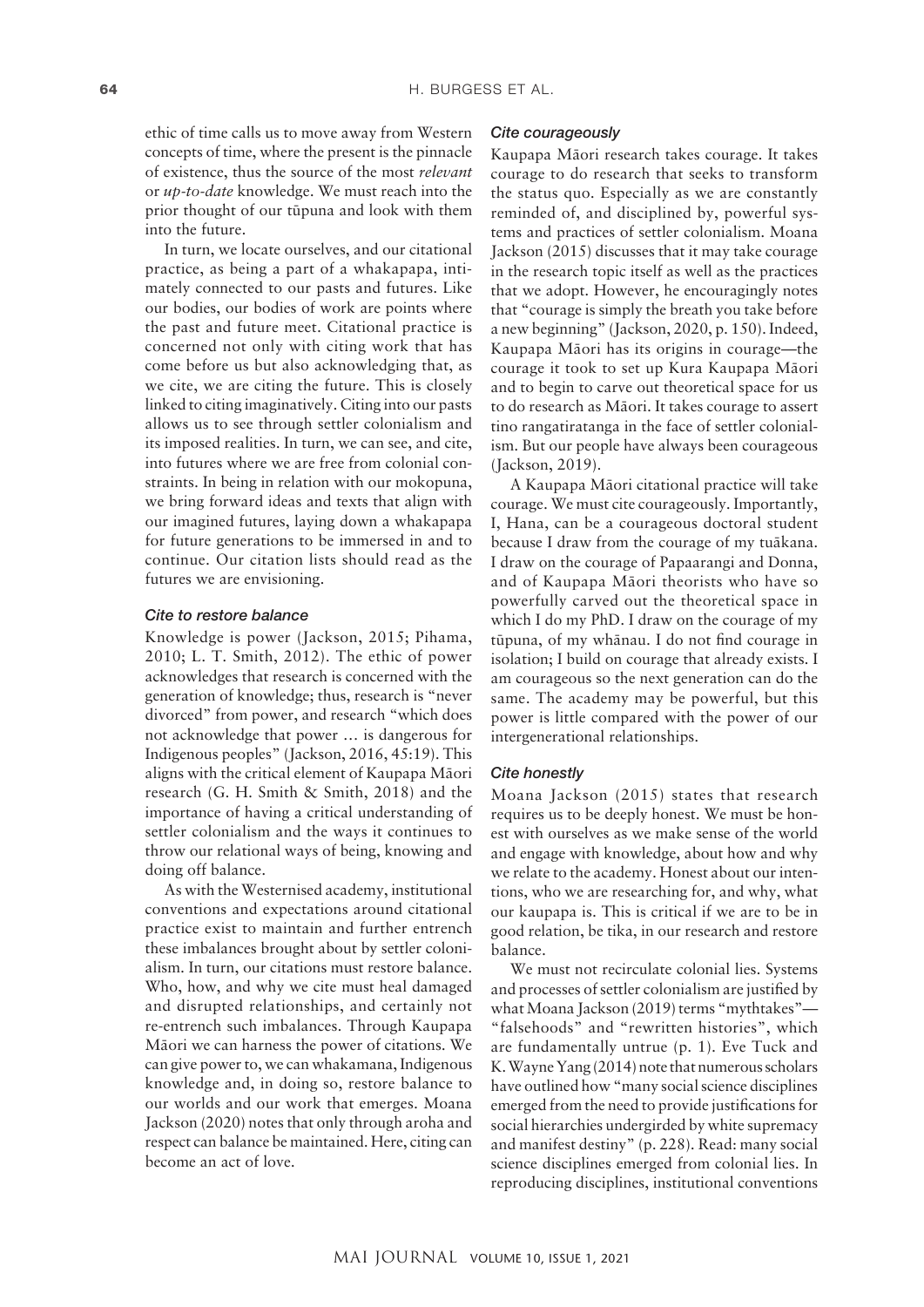ethic of time calls us to move away from Western concepts of time, where the present is the pinnacle of existence, thus the source of the most *relevant* or *up-to-date* knowledge. We must reach into the prior thought of our tüpuna and look with them into the future.

In turn, we locate ourselves, and our citational practice, as being a part of a whakapapa, intimately connected to our pasts and futures. Like our bodies, our bodies of work are points where the past and future meet. Citational practice is concerned not only with citing work that has come before us but also acknowledging that, as we cite, we are citing the future. This is closely linked to citing imaginatively. Citing into our pasts allows us to see through settler colonialism and its imposed realities. In turn, we can see, and cite, into futures where we are free from colonial constraints. In being in relation with our mokopuna, we bring forward ideas and texts that align with our imagined futures, laying down a whakapapa for future generations to be immersed in and to continue. Our citation lists should read as the futures we are envisioning.

#### *Cite to restore balance*

Knowledge is power (Jackson, 2015; Pihama, 2010; L. T. Smith, 2012). The ethic of power acknowledges that research is concerned with the generation of knowledge; thus, research is "never divorced" from power, and research "which does not acknowledge that power … is dangerous for Indigenous peoples" (Jackson, 2016, 45:19). This aligns with the critical element of Kaupapa Mäori research (G. H. Smith & Smith, 2018) and the importance of having a critical understanding of settler colonialism and the ways it continues to throw our relational ways of being, knowing and doing off balance.

As with the Westernised academy, institutional conventions and expectations around citational practice exist to maintain and further entrench these imbalances brought about by settler colonialism. In turn, our citations must restore balance. Who, how, and why we cite must heal damaged and disrupted relationships, and certainly not re-entrench such imbalances. Through Kaupapa Mäori we can harness the power of citations. We can give power to, we can whakamana, Indigenous knowledge and, in doing so, restore balance to our worlds and our work that emerges. Moana Jackson (2020) notes that only through aroha and respect can balance be maintained. Here, citing can become an act of love.

#### *Cite courageously*

Kaupapa Mäori research takes courage. It takes courage to do research that seeks to transform the status quo. Especially as we are constantly reminded of, and disciplined by, powerful systems and practices of settler colonialism. Moana Jackson (2015) discusses that it may take courage in the research topic itself as well as the practices that we adopt. However, he encouragingly notes that "courage is simply the breath you take before a new beginning" (Jackson, 2020, p. 150). Indeed, Kaupapa Mäori has its origins in courage—the courage it took to set up Kura Kaupapa Mäori and to begin to carve out theoretical space for us to do research as Mäori. It takes courage to assert tino rangatiratanga in the face of settler colonialism. But our people have always been courageous (Jackson, 2019).

A Kaupapa Mäori citational practice will take courage. We must cite courageously. Importantly, I, Hana, can be a courageous doctoral student because I draw from the courage of my tuäkana. I draw on the courage of Papaarangi and Donna, and of Kaupapa Mäori theorists who have so powerfully carved out the theoretical space in which I do my PhD. I draw on the courage of my tüpuna, of my whänau. I do not find courage in isolation; I build on courage that already exists. I am courageous so the next generation can do the same. The academy may be powerful, but this power is little compared with the power of our intergenerational relationships.

#### *Cite honestly*

Moana Jackson (2015) states that research requires us to be deeply honest. We must be honest with ourselves as we make sense of the world and engage with knowledge, about how and why we relate to the academy. Honest about our intentions, who we are researching for, and why, what our kaupapa is. This is critical if we are to be in good relation, be tika, in our research and restore balance.

We must not recirculate colonial lies. Systems and processes of settler colonialism are justified by what Moana Jackson (2019) terms "mythtakes"— "falsehoods" and "rewritten histories", which are fundamentally untrue (p. 1). Eve Tuck and K.Wayne Yang (2014) note that numerous scholars have outlined how "many social science disciplines emerged from the need to provide justifications for social hierarchies undergirded by white supremacy and manifest destiny" (p. 228). Read: many social science disciplines emerged from colonial lies. In reproducing disciplines, institutional conventions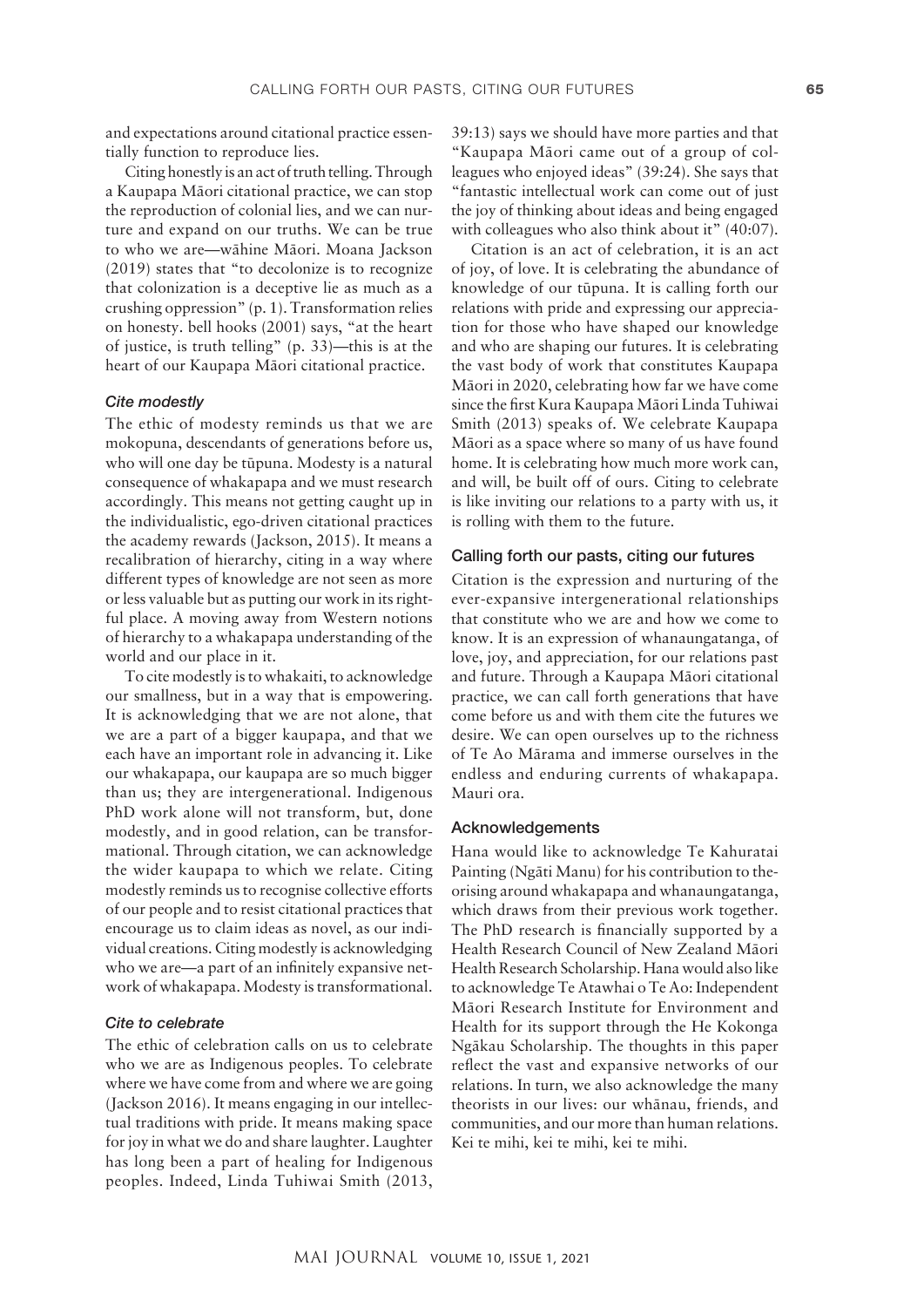and expectations around citational practice essentially function to reproduce lies.

Citing honestly is an act of truth telling. Through a Kaupapa Mäori citational practice, we can stop the reproduction of colonial lies, and we can nurture and expand on our truths. We can be true to who we are—wähine Mäori. Moana Jackson (2019) states that "to decolonize is to recognize that colonization is a deceptive lie as much as a crushing oppression" (p. 1). Transformation relies on honesty. bell hooks (2001) says, "at the heart of justice, is truth telling" (p. 33)—this is at the heart of our Kaupapa Mäori citational practice.

# *Cite modestly*

The ethic of modesty reminds us that we are mokopuna, descendants of generations before us, who will one day be tüpuna. Modesty is a natural consequence of whakapapa and we must research accordingly. This means not getting caught up in the individualistic, ego-driven citational practices the academy rewards (Jackson, 2015). It means a recalibration of hierarchy, citing in a way where different types of knowledge are not seen as more or less valuable but as putting our work in its rightful place. A moving away from Western notions of hierarchy to a whakapapa understanding of the world and our place in it.

To cite modestly is to whakaiti, to acknowledge our smallness, but in a way that is empowering. It is acknowledging that we are not alone, that we are a part of a bigger kaupapa, and that we each have an important role in advancing it. Like our whakapapa, our kaupapa are so much bigger than us; they are intergenerational. Indigenous PhD work alone will not transform, but, done modestly, and in good relation, can be transformational. Through citation, we can acknowledge the wider kaupapa to which we relate. Citing modestly reminds us to recognise collective efforts of our people and to resist citational practices that encourage us to claim ideas as novel, as our individual creations. Citing modestly is acknowledging who we are—a part of an infinitely expansive network of whakapapa. Modesty is transformational.

#### *Cite to celebrate*

The ethic of celebration calls on us to celebrate who we are as Indigenous peoples. To celebrate where we have come from and where we are going (Jackson 2016). It means engaging in our intellectual traditions with pride. It means making space for joy in what we do and share laughter. Laughter has long been a part of healing for Indigenous peoples. Indeed, Linda Tuhiwai Smith (2013,

39:13) says we should have more parties and that "Kaupapa Mäori came out of a group of colleagues who enjoyed ideas" (39:24). She says that "fantastic intellectual work can come out of just the joy of thinking about ideas and being engaged with colleagues who also think about it" (40:07).

Citation is an act of celebration, it is an act of joy, of love. It is celebrating the abundance of knowledge of our tüpuna. It is calling forth our relations with pride and expressing our appreciation for those who have shaped our knowledge and who are shaping our futures. It is celebrating the vast body of work that constitutes Kaupapa Mäori in 2020, celebrating how far we have come since the first Kura Kaupapa Mäori Linda Tuhiwai Smith (2013) speaks of. We celebrate Kaupapa Mäori as a space where so many of us have found home. It is celebrating how much more work can, and will, be built off of ours. Citing to celebrate is like inviting our relations to a party with us, it is rolling with them to the future.

# Calling forth our pasts, citing our futures

Citation is the expression and nurturing of the ever-expansive intergenerational relationships that constitute who we are and how we come to know. It is an expression of whanaungatanga, of love, joy, and appreciation, for our relations past and future. Through a Kaupapa Mäori citational practice, we can call forth generations that have come before us and with them cite the futures we desire. We can open ourselves up to the richness of Te Ao Märama and immerse ourselves in the endless and enduring currents of whakapapa. Mauri ora.

# Acknowledgements

Hana would like to acknowledge Te Kahuratai Painting (Ngäti Manu) for his contribution to theorising around whakapapa and whanaungatanga, which draws from their previous work together. The PhD research is financially supported by a Health Research Council of New Zealand Mäori Health Research Scholarship. Hana would also like to acknowledge Te Atawhai o Te Ao: Independent Mäori Research Institute for Environment and Health for its support through the He Kokonga Ngäkau Scholarship. The thoughts in this paper reflect the vast and expansive networks of our relations. In turn, we also acknowledge the many theorists in our lives: our whänau, friends, and communities, and our more than human relations. Kei te mihi, kei te mihi, kei te mihi.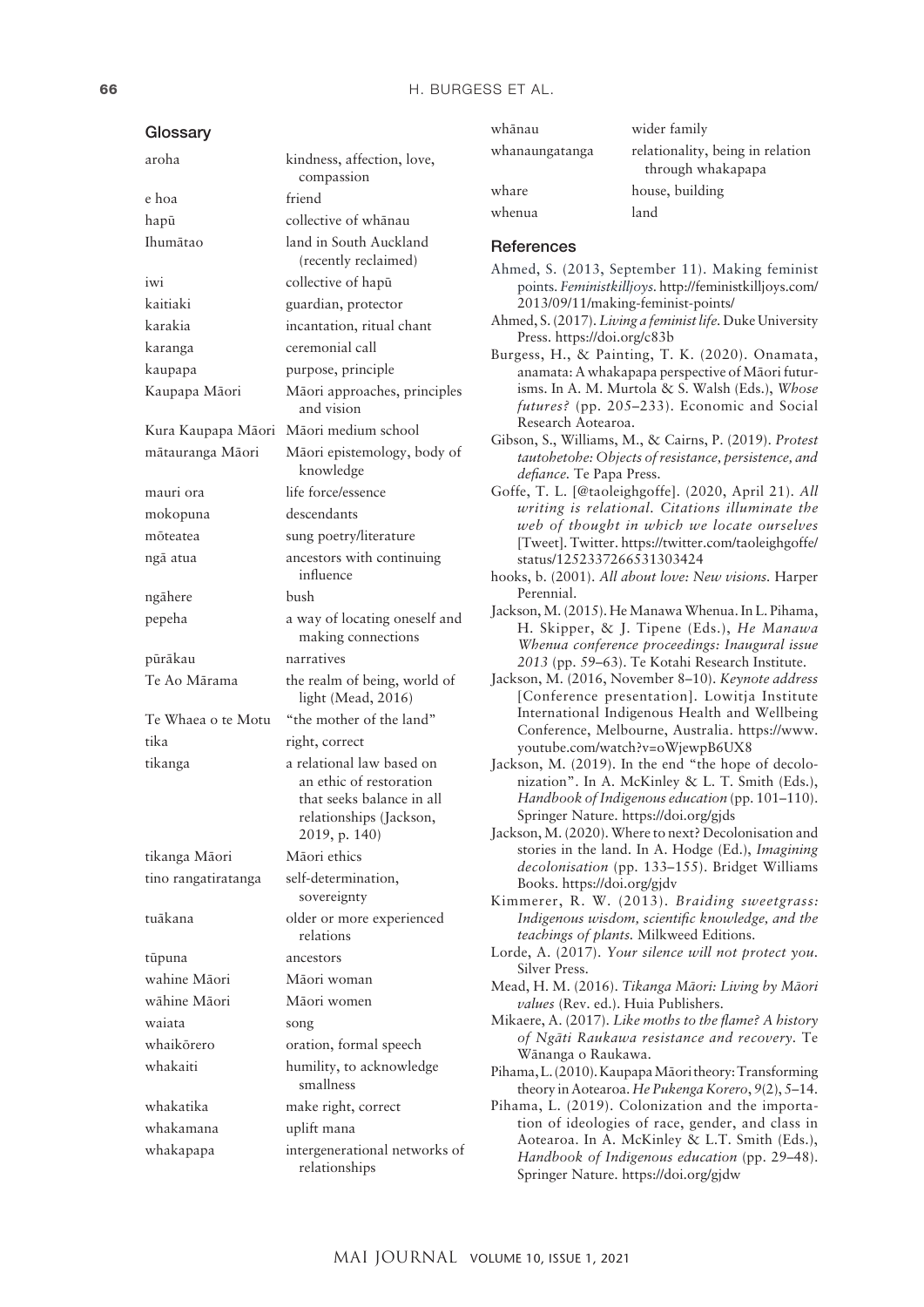| Glossary            |                                                                                                                               |
|---------------------|-------------------------------------------------------------------------------------------------------------------------------|
| aroha               | kindness, affection, love,<br>compassion                                                                                      |
| e hoa               | friend                                                                                                                        |
| hapū                | collective of whānau                                                                                                          |
| Ihumātao            | land in South Auckland<br>(recently reclaimed)                                                                                |
| iwi                 | collective of hapū                                                                                                            |
| kaitiaki            | guardian, protector                                                                                                           |
| karakia             | incantation, ritual chant                                                                                                     |
| karanga             | ceremonial call                                                                                                               |
| kaupapa             | purpose, principle                                                                                                            |
| Kaupapa Māori       | Māori approaches, principles<br>and vision                                                                                    |
| Kura Kaupapa Māori  | Māori medium school                                                                                                           |
| mātauranga Māori    | Māori epistemology, body of<br>knowledge                                                                                      |
| mauri ora           | life force/essence                                                                                                            |
| mokopuna            | descendants                                                                                                                   |
| mõteatea            | sung poetry/literature                                                                                                        |
| ngā atua            | ancestors with continuing<br>influence                                                                                        |
| ngāhere             | bush                                                                                                                          |
| pepeha              | a way of locating oneself and<br>making connections                                                                           |
| pūrākau             | narratives                                                                                                                    |
| Te Ao Mārama        | the realm of being, world of<br>light (Mead, 2016)                                                                            |
| Te Whaea o te Motu  | "the mother of the land"                                                                                                      |
| tika                | right, correct                                                                                                                |
| tikanga             | a relational law based on<br>an ethic of restoration<br>that seeks balance in all<br>relationships (Jackson,<br>2019, p. 140) |
| tikanga Māori       | Māori ethics                                                                                                                  |
| tino rangatiratanga | self-determination,<br>sovereignty                                                                                            |
| tuākana             | older or more experienced<br>relations                                                                                        |
| tūpuna              | ancestors                                                                                                                     |
| wahine Māori        | Māori woman                                                                                                                   |
| wāhine Māori        | Māori women                                                                                                                   |
| waiata              | song                                                                                                                          |
| whaikōrero          | oration, formal speech                                                                                                        |
| whakaiti            | humility, to acknowledge<br>smallness                                                                                         |
| whakatika           | make right, correct                                                                                                           |
| whakamana           | uplift mana                                                                                                                   |
| whakapapa           | intergenerational networks of<br>relationships                                                                                |

| wider family                                          |
|-------------------------------------------------------|
| relationality, being in relation<br>through whakapapa |
| house, building                                       |
| land                                                  |
|                                                       |

#### **References**

- Ahmed, S. (2013, September 11). Making feminist points. *Feministkilljoys.* [http://feministkilljoys.com/](http://feministkilljoys.com/2013/09/11/making-feminist-points/) [2013/09/11/making-feminist-points/](http://feministkilljoys.com/2013/09/11/making-feminist-points/)
- Ahmed, S. (2017). *Living a feminist life.* Duke University Press. <https://doi.org/c83b>
- Burgess, H., & Painting, T. K. (2020). Onamata, anamata: A whakapapa perspective of Mäori futurisms. In A. M. Murtola & S. Walsh (Eds.), *Whose futures?* (pp. 205–233). Economic and Social Research Aotearoa.
- Gibson, S., Williams, M., & Cairns, P. (2019). *Protest tautohetohe: Objects of resistance, persistence, and defiance.* Te Papa Press.
- Goffe, T. L. [@taoleighgoffe]. (2020, April 21). *All writing is relational. Citations illuminate the web of thought in which we locate ourselves* [Tweet]. Twitter. [https://twitter.com/taoleighgoffe/](https://twitter.com/taoleighgoffe/status/1252337266531303424) [status/1252337266531303424](https://twitter.com/taoleighgoffe/status/1252337266531303424)
- hooks, b. (2001). *All about love: New visions.* Harper Perennial.
- Jackson, M. (2015). He Manawa Whenua. In L. Pihama, H. Skipper, & J. Tipene (Eds.), *He Manawa Whenua conference proceedings: Inaugural issue 2013* (pp. 59–63). Te Kotahi Research Institute.
- Jackson, M. (2016, November 8–10). *Keynote address* [Conference presentation]. Lowitja Institute International Indigenous Health and Wellbeing Conference, Melbourne, Australia. [https://www.](https://www.youtube.com/watch?v=oWjewpB6UX8) [youtube.com/watch?v=oWjewpB6UX8](https://www.youtube.com/watch?v=oWjewpB6UX8)
- Jackson, M. (2019). In the end "the hope of decolonization". In A. McKinley & L. T. Smith (Eds.), *Handbook of Indigenous education* (pp. 101–110). Springer Nature. <https://doi.org/gjds>
- Jackson, M. (2020). Where to next? Decolonisation and stories in the land. In A. Hodge (Ed.), *Imagining decolonisation* (pp. 133–155). Bridget Williams Books.<https://doi.org/gjdv>
- Kimmerer, R. W. (2013). *Braiding sweetgrass: Indigenous wisdom, scientific knowledge, and the teachings of plants.* Milkweed Editions.
- Lorde, A. (2017). *Your silence will not protect you.* Silver Press.
- Mead, H. M. (2016). *Tikanga Mäori: Living by Mäori values* (Rev. ed.). Huia Publishers.
- Mikaere, A. (2017). *Like moths to the flame? A history of Ngäti Raukawa resistance and recovery.* Te Wänanga o Raukawa.

Pihama, L. (2010). Kaupapa Mäori theory: Transforming theory in Aotearoa. *He Pukenga Korero*, *9*(2), 5–14.

Pihama, L. (2019). Colonization and the importation of ideologies of race, gender, and class in Aotearoa. In A. McKinley & L.T. Smith (Eds.), *Handbook of Indigenous education* (pp. 29–48). Springer Nature. <https://doi.org/gjdw>